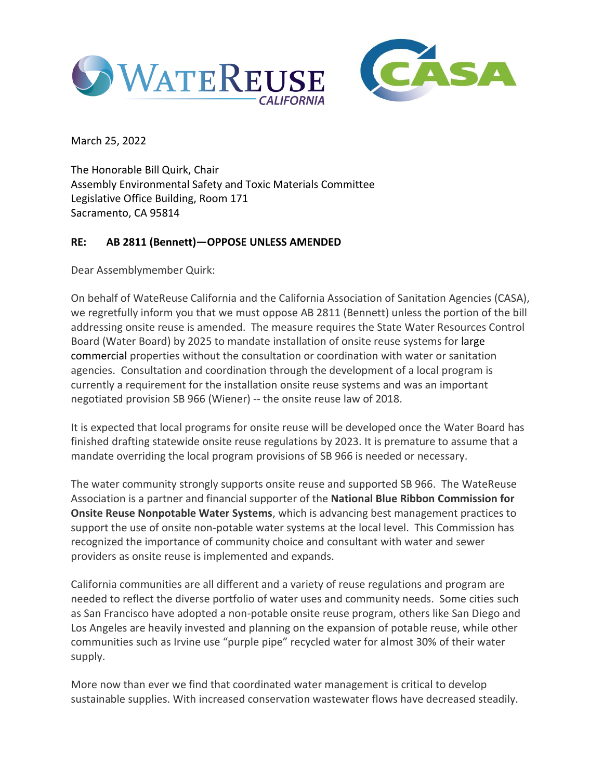



March 25, 2022

The Honorable Bill Quirk, Chair Assembly Environmental Safety and Toxic Materials Committee Legislative Office Building, Room 171 Sacramento, CA 95814

## **RE: AB 2811 (Bennett)—OPPOSE UNLESS AMENDED**

Dear Assemblymember Quirk:

On behalf of WateReuse California and the California Association of Sanitation Agencies (CASA), we regretfully inform you that we must oppose AB 2811 (Bennett) unless the portion of the bill addressing onsite reuse is amended. The measure requires the State Water Resources Control Board (Water Board) by 2025 to mandate installation of onsite reuse systems for large commercial properties without the consultation or coordination with water or sanitation agencies. Consultation and coordination through the development of a local program is currently a requirement for the installation onsite reuse systems and was an important negotiated provision SB 966 (Wiener) -- the onsite reuse law of 2018.

It is expected that local programs for onsite reuse will be developed once the Water Board has finished drafting statewide onsite reuse regulations by 2023. It is premature to assume that a mandate overriding the local program provisions of SB 966 is needed or necessary.

The water community strongly supports onsite reuse and supported SB 966. The WateReuse Association is a partner and financial supporter of the **National Blue Ribbon Commission for Onsite Reuse Nonpotable Water Systems**, which is advancing best management practices to support the use of onsite non-potable water systems at the local level. This Commission has recognized the importance of community choice and consultant with water and sewer providers as onsite reuse is implemented and expands.

California communities are all different and a variety of reuse regulations and program are needed to reflect the diverse portfolio of water uses and community needs. Some cities such as San Francisco have adopted a non-potable onsite reuse program, others like San Diego and Los Angeles are heavily invested and planning on the expansion of potable reuse, while other communities such as Irvine use "purple pipe" recycled water for almost 30% of their water supply.

More now than ever we find that coordinated water management is critical to develop sustainable supplies. With increased conservation wastewater flows have decreased steadily.